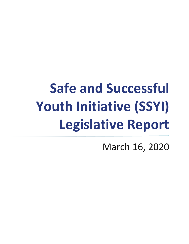# **Safe and Successful Youth Initiative (SSYI) Legislative Report**

March 16, 2020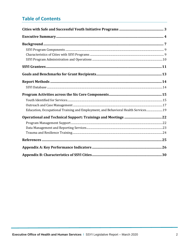## **Table of Contents**

| Education, Occupational Training and Employment, and Behavioral Health Services 19 |  |
|------------------------------------------------------------------------------------|--|
|                                                                                    |  |
|                                                                                    |  |
|                                                                                    |  |
|                                                                                    |  |
|                                                                                    |  |
|                                                                                    |  |
|                                                                                    |  |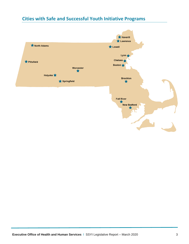## <span id="page-2-0"></span>**Cities with Safe and Successful Youth Initiative Programs**

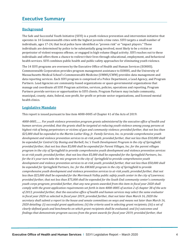## <span id="page-3-0"></span>**Executive Summary**

#### **Background**

The Safe and Successful Youth Initiative (SSYI) is a youth violence prevention and intervention initiative that operates in 14 Commonwealth cities with the highest juvenile crime rates. SSYI targets a small number of individuals, ages 17-24, that local police have identified as "proven risk" or "impact players." These individuals are determined by police to be substantially gang involved, most likely to be a victim or perpetrator of violent weapons offense, or engaged in high volume illegal activity. SSYI reaches out to these individuals and offers them a chance to redirect their lives through educational, employment, and behavioral health services. SSYI combines public health and public safety approaches for eliminating youth violence.

The 14 SSYI programs are overseen by the Executive Office of Health and Human Services (EOHHS). Commonwealth Corporation provides program management assistance to EOHHS, and the University of Massachusetts Medical School's Commonwealth Medicine (UMMS/CWM) provides data management and data reporting services. Each SSYI program is comprised of a Police Department, a Lead Agency, and Program Partners. Lead Agencies are community-based organizations or quasi-governmental organizations that manage and coordinate all SSYI Program activities, services, policies, operations and reporting. Program Partners provide services or opportunities to SSYI clients. Program Partners may include community, municipal, county, state, federal, non-profit, for-profit or private sector organizations, and licensed mental health clinics.

#### **Legislative Mandate**

This report is issued pursuant to line item 4000-0005 of Chapter 41 of the Acts of 2019:

*4000-0005........ For youth violence prevention program grants administered by the executive office of health and human services; provided, that the grants shall be targeted at reducing youth violence among young persons at highest risk of being perpetrators or victims of gun and community violence; provided further, that not less than \$25,000 shall be expended to the Martin Luther King, Jr. Family Services, Inc. to provide comprehensive youth development and violence prevention services to at-risk youth; provided further, that not less than \$10,000 shall be expended for Central City Boxing and Barbell, Inc.'s Youth Development Program in the city of Springfield; provided further, that not less than \$5,000 shall be expended for Parent Villages, Inc. for the parent villages program in the city of Springfield to provide comprehensive youth development and violence prevention services to at-risk youth; provided further, that not less than \$5,000 shall be expended for the Springfield Partners, Inc. for the it's your turn take the mic program in the city of Springfield to provide comprehensive youth development and violence prevention services to at-risk youth; provided further, that not less than \$50,000 shall be expended for Springfield Partners, Inc. for the AWAKE program in the city of Springfield to provide comprehensive youth development and violence prevention services to at-risk youth; provided further, that not less than \$25,000 shall be expended for the Merrimack Valley public safety youth center in the city of Lawrence; provided further, that not less than \$75,000 shall be expended for the South End community center's community youth corps program; provided further, that any new grants awarded from this item in fiscal year 2020 shall comply with the grant application requirements set forth in item 4000-0005 of section 2 of chapter 38 of the acts of 2013; provided further, that the executive office of health and human services may select the same evaluator in fiscal year 2020 as selected in fiscal year 2019; provided further, that not later than March 16, 2020 the secretary shall submit a report to the house and senate committees on ways and means not later than March 16, 2020 detailing: (i) successful grant applications; (ii) the criteria used in selecting grant recipients; (iii) a set of clearly-defined goals and benchmarks on which grant recipients shall be evaluated; and (iv) outcomes and findings that demonstrate program success from the grant awards for fiscal year 2019; provided further, that*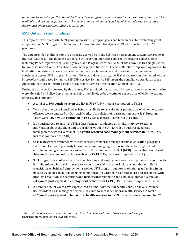*funds may be set aside for the administration of these programs; and provided further, that these funds shall be available to those municipalities with the highest number of annual youth homicides and serious assaults as determined by the executive office… \$10,195,000*

#### **SSYI Outcomes and Findings**

This report details successful SSYI grant applications, program goals and benchmarks for evaluating grant recipients, and SSYI program outcomes and findings for state fiscal year 2019 which includes 14 SSYI programs.

The data provided in this report are primarily derived from the SSYI case management system referred to as the 'SSYI Database.' The database supports SSYI program operations and reporting across all SSYI roles, including Police Departments, Lead Agencies, and Program Partners. All SSYI sites now use this single system for youth identification, outreach and case management functions. The SSYI Database improved operations by facilitating consistency in case management and outreach processes and it also improved reporting consistency across SSYI program locations. To ensure data security, the SSYI database is implemented within Microsoft's cloud-based Dynamics 365 CRM service. Dynamics 365 meets the compliance standards of the American Institute of Certified Public Accountants Services Organization Controls (SOC) 2.<sup>1</sup>

During the time period covered by this report, SSYI provided innovative and important services to youth who were identified by Police Departments as being most likely to be a victim or perpetrator of violent weapons offenses. In summary:

- A total of **1,898 youth were on the list** in FY19 (18% increase compared to FY18).
- Youth that that were identified as being most likely to be a victim or perpetrator of violent weapons offenses were contacted by Outreach Workers to solicit their participation in the SSYI Program. There were **1023 youth contacted in FY19** (24% increase compared to FY18).
- If a youth agreed to enroll in SSYI, a Case Manager conducted an intake interview to gather information about the client and to enroll the youth in SSYI. Enrolled youth received case management services. A total of **922 youth received case management services in FY19** (22% increase compared to FY18).
- Case managers coordinated with local service providers to engage clients in education programs. Educational services primarily focused on maintaining high school or alternative high school enrollment and graduation or assisted with the attainment of HiSET (GED) qualifications. A total of **544 youth received education services in FY19** (37% increase compared to FY18).
- SSYI programs also offered occupational training and employment services to provide the youth with both the soft and hard skills necessary to be successful in the work place. Youth that enrolled in transitional/subsidized employment received SSYI program support in obtaining and maintaining unsubsidized jobs, including ongoing communication with their case managers, and assistance with problem resolution, job retention, and further career planning and skill development. A total of **633 youth participated in employment activities in FY19** (31% increase compared to FY18).
- A number of SSYI youth have experienced trauma, have mental health issues, or have substance use disorders. Case Managers helped SSYI youth to access behavioral health services. A total of **617 youth participated in behavioral health services in FY19** (36% increase compared to FY18).

<sup>1</sup> More information about this certification is available from Microsoft, https://www.microsoft.com/enus/trustcenter/Compliance/SOC?Search=true.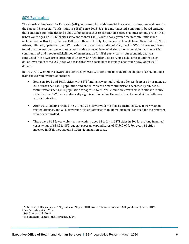#### **SSYI Evaluation**

The American Institutes for Research (AIR), in partnership with WestEd, has served as the state evaluator for the Safe and Successful Youth Initiative (SSYI) since 2013. SSYI is a multifaceted, community-based strategy that combines public health and public safety approaches to eliminating serious violence among proven-risk, urban youth ages 17–24. SSYI sites serve more than 1,000 youth at any given time in communities that include Boston, Brockton, Chelsea, Fall River, Haverhill, Holyoke, Lawrence, Lowell, Lynn, New Bedford, North Adams, Pittsfield, Springfield, and Worcester.<sup>2</sup> In the earliest studies of SSYI, the AIR/WestEd research team found that the intervention was associated with a reduced level of victimization from violent crime in SSYI communities<sup>3</sup> and a reduced likelihood of incarceration for SSYI participants.<sup>4</sup> An economic analysis conducted in the two largest program sites only, Springfield and Boston, Massachusetts, found that each dollar invested in these SSYI sites was associated with societal cost savings of as much as \$7.35 in 2013 dollars.<sup>5</sup>

In FY19, AIR-WestEd was awarded a contract by EOHHS to continue to evaluate the impact of SSYI. Findings from the current evaluation include:

- Between 2012 and 2017, cities with SSYI funding saw annual violent offenses decrease by as many as 2.2 offenses per 1,000 population and annual violent crime victimizations decrease by almost 3.2 victimizations per 1,000 population for ages 14 to 24. While multiple efforts exist in cities to reduce violent crime, SSYI had a statistically significant impact on the reduction of annual violent offenses and victimization.
- After 2012, clients enrolled in SSYI had 36% fewer violent offenses, including 50% fewer weaponrelated offenses, and 20% fewer non-violent offenses than did young men identified for the program who never enrolled.
- There were 815 fewer violent crime victims, ages 14 to 24, in SSYI cities in 2018, resulting in annual cost savings of \$38,243,359, against program expenditures of \$7,549,079. For every \$1 cities invested in SSYI, they saved \$5.10 in victimization costs.

<sup>2</sup> Note: Haverhill became an SSYI grantee on May, 7, 2018; North Adams became an SSYI grantee on June 3, 2019.

<sup>3</sup> See Petrosino et al., 2014.

<sup>4</sup> See Campie et al., 2014

<sup>5</sup> See Bradham, Campie, and Petrosino, 2014.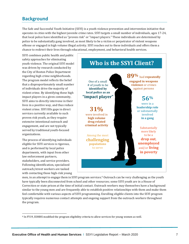## <span id="page-6-0"></span>**Background**

The Safe and Successful Youth Initiative (SSYI) is a youth violence prevention and intervention initiative that operates in cities with the highest juvenile crime rates. SSYI targets a small number of individuals, ages 17-24, that local police have identified as "proven risk" or "impact players." These individuals are determined by police to be substantially gang involved, as most likely to be a victim or perpetrator of violent weapons offense or engaged in high volume illegal activity. SSYI reaches out to these individuals and offers them a chance to redirect their lives through educational, employment, and behavioral health services.

SSYI combines public health and public safety approaches for eliminating youth violence. The original SSYI model was driven by research conducted by the City of Boston Police Department regarding high crime neighborhoods. The program model reflects the belief that a disproportionately small number of individuals drive the majority of violent crime. By identifying these high impact players in a given community, SSYI aims to directly intervene in their lives in a positive way, and thus reduce violent crime. SSYI fills gaps in direct services currently available to such proven risk youth, as they require extensive intentional outreach and engagement, and are not typically served by traditional youth-focused organizations.

The process of identifying individuals eligible for SSYI services is rigorous, and is performed by local police departments, with input from other law enforcement partners, stakeholders, and service providers. Following identification, specialized outreach/street workers are tasked with contacting those high-risk young



men, in an attempt to engage them in SSYI program services.<sup>6</sup> Outreach can be very challenging as the youth have typically been disconnected from school and other resources; some SSYI youth are in a House of Correction or state prison at the time of initial contact. Outreach workers may themselves have a background similar to the young men and are frequently able to establish positive relationships with them and make them feel comfortable with various aspects of SSYI programming. Enrolling eligible clients into the SSYI program typically requires numerous contact attempts and ongoing support from the outreach workers throughout the program.

<sup>6</sup> In FY19, EOHHS modified the program eligibility criteria to allow services for young women as well.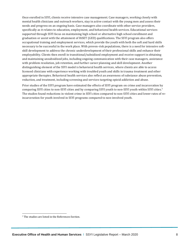Once enrolled in SSYI, clients receive intensive case management. Case managers, working closely with mental health clinicians and outreach workers, stay in active contact with the young men and assess their needs and progress on an ongoing basis. Case managers also coordinate with other service providers, specifically as it relates to education, employment, and behavioral health services. Educational services supported through SSYI focus on maintaining high school or alternative high school enrollment and graduation or assist with the attainment of HiSET (GED) qualifications. The SSYI program also offers occupational training and employment services, which provide the youth with both the soft and hard skills necessary to be successful in the work place. With proven-risk populations, there is a need for intensive softskill development to address the chronic underdevelopment of their professional skills and enhance their employability. Clients then enroll in transitional/subsidized employment and receive support in obtaining and maintaining unsubsidized jobs, including ongoing communication with their case managers, assistance with problem resolution, job retention, and further career planning and skill development. Another distinguishing element of the SSYI model is behavioral health services, where clients are able to access licensed clinicians with experience working with troubled youth and skills in trauma treatment and other appropriate therapies. Behavioral health services also reflect an awareness of substance abuse prevention, reduction, and treatment, including screening and services targeting opioid addiction and abuse.

Prior studies of the SSYI program have estimated the effects of SSYI program on crime and incarceration by comparing SSYI cities to non-SSYI cities and by comparing SSYI youth to non-SSYI youth within SSYI cities. 7 The studies found reductions in violent crime in SSYI cities compared to non-SSYI cities and lower rates of reincarceration for youth involved in SSYI programs compared to non-involved youth.

<sup>7</sup> The studies are listed in the References Section.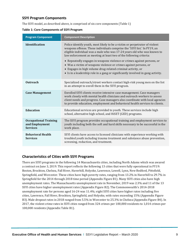#### <span id="page-8-0"></span>**SSYI Program Components**

The SSYI model, as described above, is comprised of six core components (Table 1)

| <b>Program Component</b>                                          | <b>Component Description</b>                                                                                                                                                                                                                                                                                                                                                                                                                                                                                                                                                                             |
|-------------------------------------------------------------------|----------------------------------------------------------------------------------------------------------------------------------------------------------------------------------------------------------------------------------------------------------------------------------------------------------------------------------------------------------------------------------------------------------------------------------------------------------------------------------------------------------------------------------------------------------------------------------------------------------|
| <b>Identification</b>                                             | Police identify youth, most likely to be a victim or perpetrator of violent<br>weapons offense. These individuals comprise the 'SSYI list.' In FY19, an<br>eligible individual was a male who was 17-24 years old who was known to<br>law enforcement as meeting at least two of the following criteria:<br>• Repeatedly engages in weapons violence or crimes against persons, or<br>• Was a victim of weapons violence or crimes against persons, or<br>• Engages in high volume drug-related criminal activity, or<br>• Is in a leadership role in a gang or significantly involved in gang activity. |
| <b>Outreach</b>                                                   | Specialized outreach/street workers contact high-risk young men on the list<br>in an attempt to enroll them in the SSYI program.                                                                                                                                                                                                                                                                                                                                                                                                                                                                         |
| <b>Case Management</b>                                            | Enrolled SSYI clients receive intensive case management. Case managers<br>work closely with mental health clinicians and outreach workers to assess<br>client needs and progress. Case managers also coordinate with local agencies<br>to provide education, employment and behavioral health services to clients.                                                                                                                                                                                                                                                                                       |
| <b>Education</b>                                                  | Educational services are provided to youth. These services include high<br>school, alternative high school, and HiSET (GED) programs.                                                                                                                                                                                                                                                                                                                                                                                                                                                                    |
| <b>Occupational Training</b><br>and Employment<br><b>Services</b> | The SSYI program provides occupational training and employment services to<br>youth including both the soft and hard skills necessary to be successful in the<br>work place.                                                                                                                                                                                                                                                                                                                                                                                                                             |
| <b>Behavioral Health</b><br><b>Services</b>                       | SSYI clients have access to licensed clinicians with experience working with<br>troubled youth including trauma treatment and substance abuse prevention,<br>screening, reduction, and treatment.                                                                                                                                                                                                                                                                                                                                                                                                        |

**Table 1: Core Components of SSYI Program**

#### <span id="page-8-1"></span>**Characteristics of Cities with SSYI Programs**

There are SSYI programs in the following 14 Massachusetts cities, including North Adams which was awared a contract on June 3, 2019. This report reflects the following 13 cities that were fully operational in FY19: Boston, Brockton, Chelsea, Fall River, Haverhill, Holyoke, Lawrence, Lowell, Lynn, New Bedford, Pittsfield, Springfield, and Worcester. These cities have high poverty rates, ranging from 13.2% in Haverhill to 29.7% in Springfield for the 2014 through 2018 time period (Appendix Figure B1). Many SSYI cities also have high unemployment rates. The Massachusetts unemployment rate in November, 2019 was 2.3% and 11 of the 13 SSYI cities have higher unemployment rates (Appendix Figure B2). The Commonwealth's 2014-2018 unemployment rate for persons aged 16-24 was 11.4%; eight SSYI cities have higher rates including five cities, Lawrence, Fall River, Brockton, Springfield, and Holyoke, with rates exceeding 15% (Appendix Figure B3). Male dropout rates in 2018 ranged from 5.5% in Worcester to 25.3% in Chelsea (Appendix Figure B4). In 2017, the violent crime rates in SSYI cities ranged from 324 crimes per 100,000 residents to 1,014 crimes per 100,000 residents (Appendix Table B1).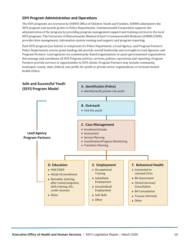#### <span id="page-9-0"></span>**SSYI Program Administration and Operations**

The SSYI programs are overseen by EOHHS Office of Children Youth and Families. EOHHS administers the SSYI program and awards grants to Police Departments. Commonwealth Corporation supports the administration of the program by providing program management support and training services to the local SSYI programs. The University of Massachusetts Medical School's Commonwealth Medicine (UMMS/CWM) provides data management, information system training and support, and program reporting.

Each SSYI program (see below) is comprised of a Police Department, a Lead Agency, and Program Partners. Police Departments receive grant funding and provide overall leadership and oversight to Lead Agencies and Program Partners. Lead agencies are commmunity-based organizations or quasi-governmental organizations that manage and coordinate all SSYI Program activies, services, policies, operations and reporting. Program Partners provide services or opportunities to SSYI clients. Program Partners may include community, municipal, county, state, federal, non-profit, for-profit or private sector organizations, or licensed mental health clinics.

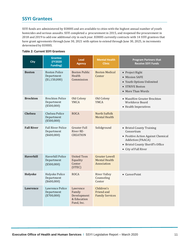## <span id="page-10-0"></span>**SSYI Grantees**

SSYI funds are administered by EOHHS and are available to cities with the highest annual number of youth homicides and serious assaults. SSYI completed a procurement in 2015, and reopened the procurement in 2018 and 2019 to add one additional city in each year. EOHHS currently contracts with 14 SSYI grantees that have grant agreements through June 30, 2021 with option to extend through June 30, 2025, in increments determined by EOHHS.

#### **Table 2: Current SSYI Grantees**

| <b>City</b>       | <b>Grantee</b><br>(FY2020)<br><b>Funding)</b>          | <b>Lead</b><br><b>Agency</b>                                   | <b>Mental Health</b><br><b>Clinic</b>                        | <b>Program Partners that</b><br><b>Receive SSYI Funds</b>                                                                                                       |
|-------------------|--------------------------------------------------------|----------------------------------------------------------------|--------------------------------------------------------------|-----------------------------------------------------------------------------------------------------------------------------------------------------------------|
| <b>Boston</b>     | <b>Boston Police</b><br>Department<br>(\$1,150,000)    | <b>Boston Public</b><br>Health<br>Commission                   | <b>Boston Medical</b><br>Center                              | • Project Right<br><b>Mission SAFE</b><br>$\bullet$<br>Youth Options Unlimited<br>$\bullet$<br><b>STRIVE Boston</b><br>$\bullet$<br>• More Than Words           |
| <b>Brockton</b>   | <b>Brockton Police</b><br>Department<br>$(*500,000)$   | Old Colony<br><b>YMCA</b>                                      | Old Colony<br><b>YMCA</b>                                    | • MassHire Greater Brockton<br><b>Workforce Board</b><br>• Health Imperatives                                                                                   |
| <b>Chelsea</b>    | Chelsea Police<br>Department<br>(\$500,000)            | <b>ROCA</b>                                                    | <b>North Suffolk</b><br><b>Mental Health</b>                 |                                                                                                                                                                 |
| <b>Fall River</b> | <b>Fall River Police</b><br>Department<br>( \$600,000] | Greater Fall<br>River RE-<br><b>CREATION</b>                   | Solidground                                                  | • Bristol County Training<br>Consortium<br>• Positive Action Against Chemical<br>Addiction (PAACA)<br>• Bristol County Sheriff's Office<br>• City of Fall River |
| <b>Haverhill</b>  | <b>Haverhill Police</b><br>Department<br>(\$500,000)   | <b>United Teen</b><br>Equality<br>Center<br>(UTEC)             | <b>Greater Lowell</b><br><b>Mental Health</b><br>Association |                                                                                                                                                                 |
| Holyoke           | Holyoke Police<br>Department<br>(\$600,000)            | <b>ROCA</b>                                                    | <b>River Valley</b><br>Counseling<br>Center                  | • CareerPoint                                                                                                                                                   |
| <b>Lawrence</b>   | <b>Lawrence Police</b><br>Department<br>$(*700,000)$   | Lawrence<br>Family<br>Development<br>& Education<br>Fund, Inc. | Children's<br>Friend and<br><b>Family Services</b>           |                                                                                                                                                                 |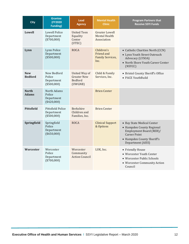| <b>City</b>                  | <b>Grantee</b><br>(FY2020)<br><b>Funding</b> )             | <b>Lead</b><br>Agency                                            | <b>Mental Health</b><br><b>Clinic</b>                        | <b>Program Partners that</b><br><b>Receive SSYI Funds</b>                                                                                                    |
|------------------------------|------------------------------------------------------------|------------------------------------------------------------------|--------------------------------------------------------------|--------------------------------------------------------------------------------------------------------------------------------------------------------------|
| <b>Lowell</b>                | <b>Lowell Police</b><br>Department<br>$(*700,000)$         | <b>United Teen</b><br>Equality<br>Center<br>(UTEC)               | <b>Greater Lowell</b><br><b>Mental Health</b><br>Association |                                                                                                                                                              |
| Lynn                         | Lynn Police<br>Department<br>(\$500,000)                   | <b>ROCA</b>                                                      | Children's<br>Friend and<br><b>Family Services,</b><br>Inc.  | • Catholic Charities North (CCN)<br>• Lynn Youth Street Outreach<br>Advocacy (LYSOA)<br>• North Shore Youth Career Center<br>(NSYCC)                         |
| <b>New</b><br><b>Bedford</b> | New Bedford<br>Police<br>Department<br>(\$500,000)         | United Way of<br><b>Greater New</b><br><b>Bedford</b><br>(UWGNB) | Child & Family<br>Services, Inc.                             | • Bristol County Sheriff's Office<br>• PACE YouthBuild                                                                                                       |
| <b>North</b><br><b>Adams</b> | <b>North Adams</b><br>Police<br>Department<br>$(*420,000)$ |                                                                  | <b>Brien Center</b>                                          |                                                                                                                                                              |
| <b>Pittsfield</b>            | Pittsfield Police<br>Department<br>(\$500,000)             | <b>Berkshire</b><br>Children and<br>Families, Inc.               | <b>Brien Center</b>                                          |                                                                                                                                                              |
| Springfield                  | Springfield<br>Police<br>Department<br>$(*650,000)$        | <b>ROCA</b>                                                      | <b>Clinical Support</b><br>& Options                         | • Bay State Medical Center<br>• Hampden County Regional<br>Employment Board (REB)/<br><b>Career Point</b><br>• Hampden County Sheriff's<br>Department (AISS) |
| <b>Worcester</b>             | Worcester<br>Police<br>Department<br>$(*700,000)$          | Worcester<br>Community<br><b>Action Council</b>                  | LUK, Inc.                                                    | • Friendly House<br>• Worcester Youth Center<br>• Worcester Public Schools<br>• Worcester Community Action<br>Council                                        |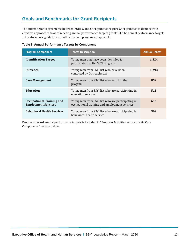## <span id="page-12-0"></span>**Goals and Benchmarks for Grant Recipients**

The current grant agreements between EOHHS and SSYI grantees require SSYI grantees to demonstrate effective approaches toward meeting annual performance targets (Table 3). The annual performance targets set performance goals for each of the six core program components.

| <b>Program Component</b>                                       | <b>Target Description</b>                                                                          | <b>Annual Target</b> |
|----------------------------------------------------------------|----------------------------------------------------------------------------------------------------|----------------------|
| <b>Identification Target</b>                                   | Young men that have been identified for<br>participation in the SSYI program                       | 1,524                |
| <b>Outreach</b>                                                | Young men from SSYI list who have been<br>contacted by Outreach staff                              | 1,293                |
| <b>Case Management</b>                                         | Young men from SSYI list who enroll in the<br>program                                              | 852                  |
| <b>Education</b>                                               | Young men from SSYI list who are participating in<br>education services                            | 518                  |
| <b>Occupational Training and</b><br><b>Employment Services</b> | Young men from SSYI list who are participating in<br>occupational training and employment services | 616                  |
| <b>Behavioral Health Services</b>                              | Young men from SSYI list who are participating in<br>behavioral health service                     | 502                  |

Progress toward annual performance targets is included in "Program Activities across the Six Core Components" section below.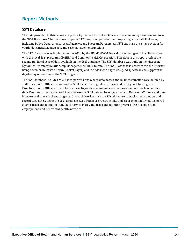## <span id="page-13-0"></span>**Report Methods**

#### <span id="page-13-1"></span>**SSYI Database**

The data provided in this report are primarily derived from the SSYI case management system referred to as the **SSYI Database**. The database supports SSYI program operations and reporting across all SSYI roles, including Police Departments, Lead Agencies, and Program Partners. All SSYI sites use this single system for youth identification, outreach, and case management functions.

The SSYI Database was implemented in 2018 by the UMMS/CWM Data Management group in collaboration with the local SSYI programs, EOHHS, and Commonwealth Corporation. This data in this report reflect the second full fiscal year of data available in the SSYI database. The SSYI database was built on the Microsoft Dynamics Customer Relationship Management (CRM) system. The SSYI Database is accessed via the internet using a web browser (via Secure Socket Layer) and includes web pages designed specifically to support the day-to-day operations of the SSYI programs.

The SSYI database includes role-based permissions where data access and business functions are defined by staff roles. Police Officers maintain the SSYI list, enter eligibility criteria, and refer youth to Program Directors. Police Officers do not have access to youth assessment, case management, outreach, or service data. Program Directors in Lead Agencies use the SSYI dataset to assign clients to Outreach Workers and Case Mangers and to track client progress. Outreach Workers use the SSYI database to track client contacts and record case notes. Using the SSYI database, Case Managers record intake and assessment information, enroll clients, track and maintain Individual Service Plans, and track and monitor progress in SSYI education, employment, and behavioral health activities.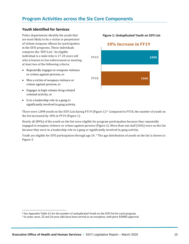## <span id="page-14-0"></span>**Program Activities across the Six Core Components**

#### <span id="page-14-1"></span>**Youth Identified for Services**

Police departments identify the youth that are most likely to be a victim or perpetrator of violent weapons offense for participation in the SSYI programs. These individuals comprise the 'SSYI List.' An eligible individual is a male who is 17-24 years old who is known to law enforcement as meeting at least two of the following criteria:

- Repeatedly engages in weapons violence or crimes against persons, or
- Was a victim of weapons violence or crimes against persons, or
- Engages in high volume drug-related criminal activity, or
- Is in a leadership role in a gang or significantly involved in gang activity.

**Figure 1: Unduplicated Youth on SSYI List**

#### **18% Increase in FY19**



There were 1,898 youth on the SSYI List during FY19 (Figure 1).<sup>8</sup> Compared to FY18, the number of youth on the list increased by 18% in FY19 (Figure 1).

Nearly all (89%) of the youth on the list were eligible for program participation because they repeatedly engaged in weapons violence or crimes against persons (Figure 2). More than one-half (56%) were on the list because they were in a leadership role in a gang or significantly involved in gang activity.

Youth are eligible for SSYI participation through age 24. <sup>9</sup> The age distribution of youth on the list is shown in Figure 3.

<sup>8</sup> See Appendix Table A1 for the number of unduplicated Youth on the SSYI list for each program.

<sup>9</sup> In some cases, 25 and 26-year olds have been served as an exception, with prior EOHHS approval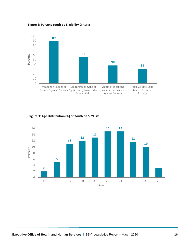**Figure 2: Percent Youth by Eligibility Criteria**



**Figure 3: Age Distribution (%) of Youth on SSYI List**

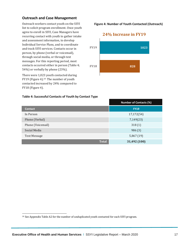#### <span id="page-16-0"></span>**Outreach and Case Management**

Outreach workers contact youth on the SSYI list to solicit program enrollment. Once youth agree to enroll in SSYI, Case Managers have recurring contact with youth to gather intake and assessment information, to develop Individual Service Plans, and to coordinate and track SSYI services. Contacts occur in person, by phone (verbal or voicemail), through social media, or through text messages. For this reporting period, most contacts occurred either in person (Table 4; 54%) or verbally by phone (23%).

There were 1,023 youth contacted during FY19 (Figure 4).<sup>10</sup> The number of youth contacted increased by 24% compared to FY18 (Figure 4).

**828 1023 FY18 FY19 24% Increase in FY19**

**Figure 4: Number of Youth Contacted (Outreach)**

#### **Table 4: Successful Contacts of Youth by Contact Type**

|                   | <b>Number of Contacts (%)</b> |
|-------------------|-------------------------------|
| <b>Contact</b>    | <b>FY19</b>                   |
| In Person         | 17,172(54)                    |
| Phone (Verbal)    | 7,149(23)                     |
| Phone (Voicemail) | 318(1)                        |
| Social Media      | 986(3)                        |
| Text Message      | 5,867(19)                     |
| <b>Total</b>      | 31,492 (100)                  |

<sup>&</sup>lt;sup>10</sup> See Appendix Table A2 for the number of unduplicated youth contacted for each SSYI program.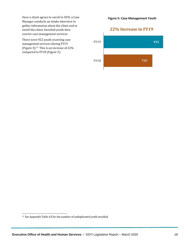Once a client agrees to enroll in SSYI, a Case Manager conducts an intake interview to gather information about the client and to enroll the client. Enrolled youth then receive case management services.

There were 922 youth receiving case management services during FY19 (Figure 5).<sup>11</sup> This is an increase of 22% compared to FY18 (Figure 5).

**Figure 5: Case Management Youth**

### **22% Increase in FY19**



<sup>11</sup> See Appendix Table A3 for the number of unduplicated youth enrolled.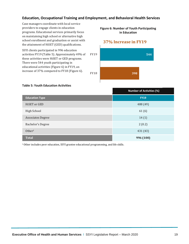#### <span id="page-18-0"></span>**Education, Occupational Training and Employment, and Behavioral Health Services**

Case managers coordinate with local service providers to engage clients in education programs. Educational services primarily focus on maintaining high school or alternative high school enrollment and graduation or assist with the attainment of HiSET (GED) qualifications.

SSYI clients participated in 996 education activities FY19 (Table 5). Approximately 49% of these activities were HiSET or GED programs. There were 544 youth participating in educational activities (Figure 6) in FY19, an increase of 37% compared to FY18 (Figure 6).

#### **Figure 6: Number of Youth Participating in Education**

#### **37% Increase in FY19**



#### **Table 5: Youth Education Activities**

|                          | <b>Number of Activities (%)</b> |
|--------------------------|---------------------------------|
| <b>Education Type</b>    | <b>FY19</b>                     |
| HiSET or GED             | 488 (49)                        |
| <b>High School</b>       | 61(6)                           |
| <b>Associates Degree</b> | 14(1)                           |
| <b>Bachelor's Degree</b> | 2(0.2)                          |
| Other <sup>1</sup>       | 431 (43)                        |
| <b>Total</b>             | 996 (100)                       |

<sup>1</sup>Other includes peer education, SSYI grantee educational programming, and life skills.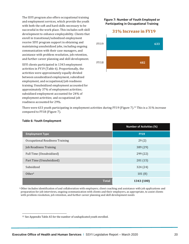The SSYI program also offers occupational training and employment services, which provide the youth with both the soft and hard skills necessary to be successful in the work place. This includes soft-skill development to enhance employability. Clients that enroll in transitional/subsidized employment receive SSYI program support in obtaining and maintaining unsubsidized jobs, including ongoing communication with their case managers, and assistance with problem resolution, job retention, and further career planning and skill development.

SSYI clients participated in 1343 employment activities in FY19 (Table 6). Proportionally, the activities were approximately equally divided between unsubsidized employment, subsidized employment, and occupational/job readiness training. Unsubsidized employment accounted for approximately 37% of employment activities; subsidized employment accounted for 24% of employment activities; and occupational job readiness accounted for 29%.

#### **Figure 7: Number of Youth Employed or Participating in Occupational Training**

#### **31% Increase in FY19**



There were 633 youth participating in employment activities during FY19 (Figure 7).<sup>12</sup> This is a 31% increase compared to FY18 (Figure 7).

|                                 | <b>Number of Activities (%)</b> |
|---------------------------------|---------------------------------|
| <b>Employment Type</b>          | <b>FY19</b>                     |
| Occupational Readiness Training | 29(2)                           |
| <b>Job Readiness Training</b>   | 389 (29)                        |
| Full Time (Unsubsidized)        | 299 (22)                        |
| Part Time (Unsubsidized)        | 201(15)                         |
| Subsidized                      | 324 (24)                        |
| Other <sup>1</sup>              | 101(8)                          |
| <b>Total</b>                    | 1343 (100)                      |

#### **Table 6: Youth Employment**

<sup>1</sup> Other includes identification of and collaboration with employers; client coaching and assistance with job applications and preparation for job interviews, ongoing communication with clients and their employers, as appropriate, to assist clients with problem resolution, job retention, and further career planning and skill development needs

<sup>12</sup> See Appendix Table A5 for the number of unduplicated youth enrolled.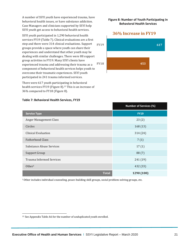A number of SSYI youth have experienced trauma, have behavioral health issues, or have substance addiction. Case Managers and clinicians supported by SSYI help SSYI youth get access to behavioral health services.

SSYI youth participated in 1,290 behavioral health services FY19 (Table 7). Clinical evaluations are a first step and there were 314 clinical evaluations. Support groups provide a space where youth can share their experiences and understand that other youth may be dealing with similar challenges. There were 88 support group activities in FY19. Many SSYI clients have experienced trauma and addressing their trauma as a component of behavioral health services helps youth to overcome their traumatic experiences. SSYI youth participated in 241 trauma informed services.

There were 617 youth participating in behavioral health services FY19 (Figure 8).<sup>13</sup> This is an increase of 36% compared to FY18 (Figure 8).

## **453 617 FY18 FY19**

**36% Increase in FY19**

**Figure 8: Number of Youth Participating in Behavioral Health Services**

|                                 | <b>Number of Services (%)</b> |
|---------------------------------|-------------------------------|
| <b>Service Type</b>             | <b>FY19</b>                   |
| Anger Management Class          | 23(2)                         |
| Circles                         | 168(13)                       |
| Clinical Evaluation             | 314 (24)                      |
| <b>Fatherhood Class</b>         | 7(1)                          |
| <b>Substance Abuse Services</b> | 17(1)                         |
| <b>Support Group</b>            | 88(7)                         |
| <b>Trauma Informed Services</b> | 241 (19)                      |
| Other <sup>1</sup>              | 432 (33)                      |
| <b>Total</b>                    | 1290 (100)                    |

**Table 7: Behavioral Health Services, FY19**

<sup>1</sup>Other includes individual counseling, peace-building skill groups, social problem-solving groups, etc.

<sup>13</sup> See Appendix Table A6 for the number of unduplicated youth enrolled.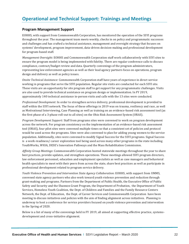#### <span id="page-21-1"></span><span id="page-21-0"></span>**Program Management Support**

EOHHS, with support from Commonwealth Corporation, has monitored the operation of the SSYI programs throughout the year. The management team meets weekly, checks in on policy and programmatic successes and challenges and has crafted a technical assistance, management and oversight strategy that focuses on systems' development, program improvement, data-driven decision-making and professional development for program-based staff.

*Management Oversight*: EOHHS and Commonwealth Corporation staff work collaboratively with SSYI sites to ensure the program model is being implemented with fidelity. There are regular conference calls to discuss compliance, contract/budget review and data. Quarterly convenings of the program administrators, representing law enforcement agencies as well as their lead agency partners focus on operations, program design and delivery as well as policy issues.

*Onsite Technical Assistance*: Commonwealth Corporation staff have years of experience in direct service working in programs that serve the SSYI population. Regular site visits are conducted for each SSYI site. These visits are an opportunity for site program staff to get support for any programmatic challenges. Visits are also used to provide technical assistance on program design or implementation. In FY 2019, approximately 140 technical assistance in-person visits and calls with the 13 sites were conducted.

*Professional Development*: In order to strengthen service delivery, professional development is provided to staff within the SSYI network. The focus of these offerings in 2019 was on trauma, resiliency and race, as well as Motivational Interviewing, Case Planning as well as training on an evidence-based risk assessment tool (as the first phase of a 3-phase roll-out to all sites) on the Ohio Risk Assessment System (ORAS).

*Program Development Support:* Staff from programs sites were convened to work on program development across the network. For program consistency on the implementation of an evidence-based risk assessment tool (ORAS), four pilot sites were convened multiple times so that a consistent set of policies and protocol would be used across the programs. Sites were also convened to plan for adding young women to the service population. Additionally, sites were convened to modify Signal Success for the SSYI programs. Signal Success is a work-readiness/ career exploration tool being used across many other programs in the state including YouthWorks, WIOA, DESE's Innovation Pathways and the Mass Rehabilitation Commission.

*Affinity Group Meetings*: Commonwealth Corporation hosted statewide meetings throughout the year to share best practices, provide updates, and strengthen operations. These meetings allowed SSYI program directors, law enforcement personnel, education and employment specialists as well as case managers and behavioral health specialists to meet with their peers from across the state, share best practices as well as participate in professional development related to program service delivery.

*Youth Violence Prevention and Intervention State Agency Collaboration*: EOHHS, with support from UMMS, convened state agency partners who also work toward youth violence prevention and reduction through grant-making and programs. Partners from the Department of Public Health, the Executive Office of Public Safety and Security and the Shannon Grant Program, the Department of Probation, the Department of Youth Services, Homeless Youth Coalition, the Dept. of Children and Families and the Family Resource Centers Network, the Dept. of Education, the Dept. of Career Services and Commonwealth Corporation have been meeting to discuss initiatives and policies with the aim of finding alignment across initiatives. Planning is underway to host a conference for service providers focused on youth violence prevention and intervention in the Spring of 2020.

Below is a list of many of the convenings held in FY 2019, all aimed at supporting effective practice, systemsdevelopment and cross-initiative alignment.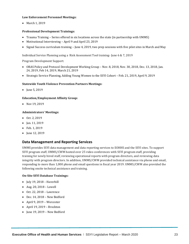#### **Law Enforcement Personnel Meetings:**

• March 1, 2019

#### **Professional Development Trainings:**

- Trauma Training Series offered in six locations across the state (in partnership with UMMS)
- Motivational Interviewing April 9 and April 23, 2019
- Signal Success curriculum training June 4, 2019, two prep sessions with five pilot sites in March and May

Individual Service Planning using a Risk Assessment Tool training- June 6 & 7, 2019

Program Development Support:

- ORAS Policy and Protocol Development Working Group Nov. 8, 2018, Nov. 30, 2018, Dec. 13, 2018, Jan. 24, 2019, Feb 14, 2019, March 21, 2019
- Strategic Service Planning, Adding Young Women to the SSYI Cohort Feb. 21, 2019, April 9, 2019

#### **Statewide Youth Violence Prevention Partners Meetings:**

• June 5, 2019

#### **Education/Employment Affinity Group:**

• Nov 19, 2019

#### **Administrators' Meetings:**

- Oct. 2, 2019
- Jan. 11, 2019
- Feb. 1, 2019
- June 12, 2019

#### <span id="page-22-0"></span>**Data Management and Reporting Services**

UMMS provides SSYI data management and data reporting services to EOHHS and the SSYI sites. To support SSYI program staff, UMMS/CWM hosted over 25 video conferences with SSYI program staff, providing training for newly hired staff, reviewing operational reports with program directors, and reviewing data integrity with program directors. In addition, UMMS/CWM provided technical assistance via phone and email, responding to more than 1,000 phone and email questions in fiscal year 2019. UMMS/CWM also provided the following onsite technical assistance and training.

#### **On-Site SSYI Database Trainings:**

- July 19, 2018 Haverhill
- Aug. 20, 2018 Lowell
- Oct. 22, 2018 Lawrence
- Dec. 14, 2018 New Bedford
- April 9, 2019 Worcester
- April 19, 2019 Brockton
- June 19, 2019 New Bedford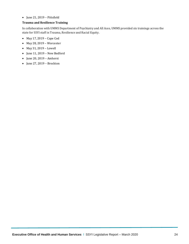#### • June 21, 2019 – Pittsfield

#### <span id="page-23-0"></span>**Trauma and Resilience Training**

In collaboration with UMMS Department of Psychiatry and All Aces, UMMS provided six trainings across the state for SSYI staff in Trauma, Resilience and Racial Equity.

- May 17, 2019 Cape Cod
- May 28, 2019 Worcester
- May 31, 2019 Lowell
- June 11, 2019 New Bedford
- June 20, 2019 Amherst
- June 27, 2019 Brockton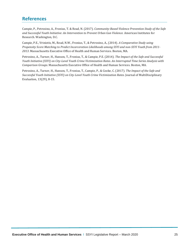## <span id="page-24-0"></span>**References**

Campie, P., Petrosino, A., Fronius, T. & Read, N. (2017). *Community-Based Violence Prevention Study of the Safe and Successful Youth Initiative: An Intervention to Prevent Urban Gun Violence.* American Institutes for Research. Washington, D.C.

Campie, P.E., Vriniotis, M., Read, N.W., Fronius, T., & Petrosino, A., (2014). *A Comparative Study using Propensity Score Matching to Predict Incarceration Likelihoods among SSYI and non-SSYI Youth from 2011- 2013*. Massachusetts Executive Office of Health and Human Services. Boston, MA.

Petrosino, A., Turner, H., Hanson, T., Fronius, T., & Campie, P.E. (2014). *The Impact of the Safe and Successful Youth Initiative (SSYI) on City-Level Youth Crime Victimization Rates. An Interrupted Time Series Analysis with Comparison Groups.* Massachusetts Executive Office of Health and Human Services. Boston, MA.

Petrosino, A., Turner, H., Hanson, T., Fronius, T., Campie, P., & Cooke, C. (2017). *The Impact of the Safe and Successful Youth Initiative (SSYI) on City-Level Youth Crime Victimization Rates*. Journal of MultiDisciplinary Evaluation, 13(29), 8-15.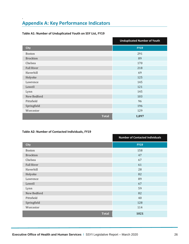## <span id="page-25-0"></span>**Appendix A: Key Performance Indicators**

#### **Table A1: Number of Unduplicated Youth on SSY List, FY19**

.

|                   | <b>Unduplicated Number of Youth</b> |
|-------------------|-------------------------------------|
| <b>City</b>       | <b>FY19</b>                         |
| <b>Boston</b>     | 291                                 |
| <b>Brockton</b>   | 89                                  |
| Chelsea           | 170                                 |
| <b>Fall River</b> | 218                                 |
| Haverhill         | 69                                  |
| Holyoke           | 125                                 |
| Lawrence          | 145                                 |
| Lowell            | 121                                 |
| Lynn              | 145                                 |
| New Bedford       | 103                                 |
| Pittsfield        | 96                                  |
| Springfield       | 196                                 |
| Worcester         | 129                                 |
| <b>Total</b>      | 1,897                               |

#### **Table A2: Number of Contacted Individuals, FY19**

|                 | <b>Number of Contacted Individuals</b> |
|-----------------|----------------------------------------|
| <b>City</b>     | <b>FY19</b>                            |
| <b>Boston</b>   | 158                                    |
| <b>Brockton</b> | 47                                     |
| Chelsea         | 67                                     |
| Fall River      | 61                                     |
| Haverhill       | 28                                     |
| Holyoke         | 82                                     |
| Lawrence        | 89                                     |
| Lowell          | 67                                     |
| Lynn            | 59                                     |
| New Bedford     | 82                                     |
| Pittsfield      | 40                                     |
| Springfield     | 128                                    |
| Worcester       | 114                                    |
| <b>Total</b>    | 1021                                   |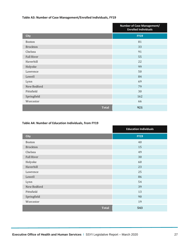#### **Table A3: Number of Case Management/Enrolled Individuals, FY19**

|                   | <b>Number of Case Management/</b><br><b>Enrolled Individuals</b> |
|-------------------|------------------------------------------------------------------|
| <b>City</b>       | <b>FY19</b>                                                      |
| <b>Boston</b>     | 81                                                               |
| <b>Brockton</b>   | 33                                                               |
| Chelsea           | 91                                                               |
| <b>Fall River</b> | 55                                                               |
| Haverhill         | 22                                                               |
| Holyoke           | 99                                                               |
| Lawrence          | 50                                                               |
| Lowell            | 84                                                               |
| Lynn              | 69                                                               |
| New Bedford       | 79                                                               |
| Pittsfield        | 30                                                               |
| Springfield       | 162                                                              |
| Worcester         | 66                                                               |
| <b>Total</b>      | 921                                                              |

#### **Table A4: Number of Education Individuals, from FY19**

|                   | <b>Education Individuals</b> |
|-------------------|------------------------------|
| <b>City</b>       | <b>FY19</b>                  |
| <b>Boston</b>     | 40                           |
| <b>Brockton</b>   | 15                           |
| Chelsea           | 49                           |
| <b>Fall River</b> | 30                           |
| Holyoke           | 60                           |
| Haverhill         | 23                           |
| Lawrence          | 25                           |
| Lowell            | 86                           |
| Lynn              | 54                           |
| New Bedford       | 39                           |
| Pittsfield        | 13                           |
| Springfield       | 90                           |
| Worcester         | 19                           |
| <b>Total</b>      | 543                          |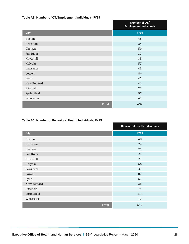#### **Table A5: Number of OT/Employment Individuals, FY19**

|                   | Number of OT/<br><b>Employment Individuals</b> |
|-------------------|------------------------------------------------|
| <b>City</b>       | <b>FY19</b>                                    |
| <b>Boston</b>     | 48                                             |
| <b>Brockton</b>   | 24                                             |
| Chelsea           | 50                                             |
| <b>Fall River</b> | 37                                             |
| Haverhill         | 35                                             |
| Holyoke           | 57                                             |
| Lawrence          | 43                                             |
| Lowell            | 84                                             |
| Lynn              | 45                                             |
| New Bedford       | 41                                             |
| Pittsfield        | 22                                             |
| Springfield       | 97                                             |
| Worcester         | 49                                             |
| <b>Total</b>      | 632                                            |

#### **Table A6: Number of Behavioral Health Individuals, FY19**

|                   | <b>Behavioral Health Individuals</b> |
|-------------------|--------------------------------------|
| <b>City</b>       | <b>FY19</b>                          |
| <b>Boston</b>     | 48                                   |
| <b>Brockton</b>   | 24                                   |
| Chelsea           | 71                                   |
| <b>Fall River</b> | 24                                   |
| Haverhill         | 23                                   |
| Holyoke           | 66                                   |
| Lawrence          | 37                                   |
| Lowell            | 87                                   |
| Lynn              | 63                                   |
| New Bedford       | 38                                   |
| Pittsfield        | $\overline{9}$                       |
| Springfield       | 114                                  |
| Worcester         | 12                                   |
| <b>Total</b>      | 617                                  |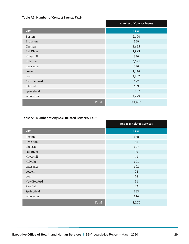#### **Table A7: Number of Contact Events, FY19**

|                   | <b>Number of Contact Events</b> |
|-------------------|---------------------------------|
| <b>City</b>       | <b>FY19</b>                     |
| <b>Boston</b>     | 2,100                           |
| <b>Brockton</b>   | 569                             |
| Chelsea           | 3.625                           |
| <b>Fall River</b> | 1,993                           |
| Haverhill         | 840                             |
| Holyoke           | 5,091                           |
| Lawrence          | 330                             |
| Lowell            | 1,914                           |
| Lynn              | 4,202                           |
| New Bedford       | 677                             |
| Pittsfield        | 689                             |
| Springfield       | 5,182                           |
| Worcester         | 4,279                           |
| <b>Total</b>      | 31,492                          |

#### **Table A8: Number of Any SSYI Related Services, FY19**

|                   | <b>Any SSYI Related Services</b> |
|-------------------|----------------------------------|
| <b>City</b>       | <b>FY19</b>                      |
| <b>Boston</b>     | 178                              |
| <b>Brockton</b>   | 56                               |
| Chelsea           | 107                              |
| <b>Fall River</b> | 80                               |
| Haverhill         | 41                               |
| Holyoke           | 101                              |
| Lawrence          | 102                              |
| Lowell            | 94                               |
| Lynn              | 74                               |
| New Bedford       | 91                               |
| Pittsfield        | 47                               |
| Springfield       | 183                              |
| Worcester         | 116                              |
| <b>Total</b>      | 1,270                            |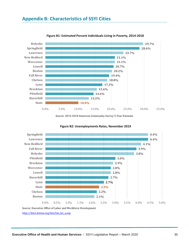<span id="page-29-0"></span>

**Figure B1: Estimated Percent Individuals Living in Poverty, 2014-2018**

Source: 2014-2018 American Community Survey 5-Year Estimate



**Figure B2: Unemployments Rates, November 2019**

[http://lmi2.detma.org/lmi/lmi\\_lur\\_a.asp](http://lmi2.detma.org/lmi/lmi_lur_a.asp)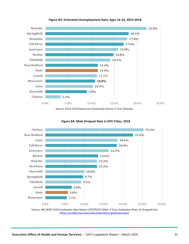

**Figure B3: Estimated Unemployment Rate, Ages 16-24, 2014-2018**

Source: 2014-2018 American Community Survey 5-Year Estimate



**Figure B4: Male Dropout Rate in SSYI Cities, 2018**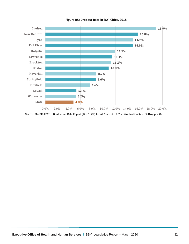

**Figure B5: Dropout Rate in SSYI Cities, 2018**

Source: MA DESE 2018 Graduation Rate Report (DISTRICT) for All Students: 4-Year Graduation Rate; % Dropped Out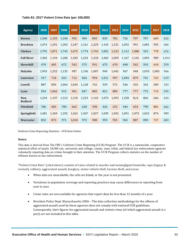| <b>Agency</b>                | 2006  | 2007  | 2008  | 2009  | 2010  | 2011  | 2012  | 2013  | 2014  | 2015  | 2016  | 2017  | 2018  |
|------------------------------|-------|-------|-------|-------|-------|-------|-------|-------|-------|-------|-------|-------|-------|
| <b>Boston</b>                | 1,340 | 1,155 | 1,104 | 992   | 904   | 845   | 835   | 782   | 726   | 707   | 707   | 669   | 622   |
| <b>Brockton</b>              | 1,474 | 1,291 | 1,203 | 1,247 | 1,161 | 1,229 | 1,143 | 1,231 | 1,052 | 991   | 1,081 | 955   | 905   |
| <b>Chelsea</b>               | 1,791 | 1.871 | 1.743 | 1.675 | 1.774 | 1.743 | 1.852 | 1.223 | 1,112 | 1.080 | 923   | 778   | 676   |
| <b>Fall River</b>            | 1,302 | 1.194 | 1,200 | 1,183 | 1,224 | 1,218 | 1,063 | 1,059 | 1,167 | 1,141 | 1,093 | 989   | 1,014 |
| <b>Haverhill</b>             | 470   | 605   | 672   | 542   | 575   | 591   | 675   | 670   | 698   | 542   | 593   | 618   | 559   |
| Holyoke                      | 1,993 | 1,252 | 1,135 | 987   | 1,196 | 1,007 | 949   | 1,042 | 967   | 948   | 1,070 | 1,083 | 966   |
| Lawrence                     | 917   | 718   | 653   | 712   | 826   | 994   | 1,011 | 997   | 1,094 | 879   | 741   | 723   | 619   |
| Lowell                       | 887   | 850   | 1,064 | 1,044 | 1,128 | 742   | 539   | 572   | 546   | 435   | 342   | 289   | 324   |
| Lynn                         | 954   | 1.062 | 915   | 901   | 847   | 885   | 821   | 889   | 777   | 777   | 772   | 715   | 595   |
| <b>New</b><br><b>Bedford</b> | 1,234 | 1,197 | 1,312 | 1,310 | 1,223 | 1,143 | 1,073 | 1,093 | 1,258 | N/A   | 866   | 666   | 634   |
| Pittsfield                   | 786   | 683   | 700   | 662   | 628   | 598   | 426   | 252   | 444   | 654   | 790   | 881   | 842   |
| <b>Springfield</b>           | 1.481 | 1,369 | 1,255 | 1,263 | 1,367 | 1,027 | 1,039 | 1,092 | 1.091 | 1.073 | 1.032 | 874   | 989   |
| Worcester                    | 852   | 873   | 971   | 1,010 | 973   | 988   | 959   | 955   | 965   | 887   | 890   | 727   | 683   |

Uniform Crime Reporting Statistics - UCR Data Online

#### **Notes:**

This data is derived from The FBI's Uniform Crime Reporting (UCR) Program. The UCR is a nationwide, cooperative statistical effort of nearly 18,000 city, university and college, county, state, tribal, and federal law enforcement agencies voluntarily reporting data on crimes brought to their attention. The UCR Program collects statistics on the number of offenses known to law enforcement.

"Violent Crime Rate" (cited above) consists of rates related to murder and nonnegligent homicide, rape (legacy & revised), robbery, aggravated assault, burglary, motor vehicle theft, larceny-theft, and arson.

- When data are unavailable, the cells are blank, or the year is not presented.
- Variations in population coverage and reporting practices may cause differences in reporting from year to year.
- Crime rates are not available for agencies that report data for less than 12 months of a year.
- Brockton Police Dept. Massachusetts 2006 The data collection methodology for the offense of aggravated assault used by these agencies does not comply with national UCR guidelines. Consequently, their figures for aggravated assault and violent crime (of which aggravated assault is a part) are not included in this table.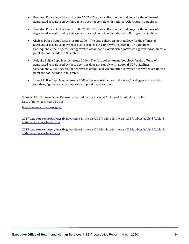- Brockton Police Dept. Massachusetts 2007 The data collection methodology for the offense of aggravated assault used by this agency does not comply with national UCR Program guidelines.
- Brockton Police Dept. Massachusetts 2008 The data collection methodology for the offense of aggravated assault used by this agency does not comply with national UCR Program guidelines.
- Chelsea Police Dept. Massachusetts 2006 The data collection methodology for the offense of aggravated assault used by these agencies does not comply with national UCR guidelines. Consequently, their figures for aggravated assault and violent crime (of which aggravated assault is a part) are not included in this table.
- Holyoke Police Dept. Massachusetts 2006 The data collection methodology for the offense of aggravated assault used by these agencies does not comply with national UCR guidelines. Consequently, their figures for aggravated assault and violent crime (of which aggravated assault is a part) are not included in this table.
- Lowell Police Dept. Massachusetts 2008 Because of changes in the state/local agency's reporting practices, figures are not comparable to previous years' data.

Sources: FBI, Uniform Crime Reports, prepared by the National Archive of Criminal Justice Data Date of download: Mar 06 2018

<http://www.ucrdatatool.gov/>

2017 data source[: https://ucr.fbi.gov/crime-in-the-u.s/2017/crime-in-the-u.s.-2017/tables/table-8/table-8](https://ucr.fbi.gov/crime-in-the-u.s/2017/crime-in-the-u.s.-2017/tables/table-8/table-8-state-cuts/massachusetts.xls) [state-cuts/massachusetts.xls](https://ucr.fbi.gov/crime-in-the-u.s/2017/crime-in-the-u.s.-2017/tables/table-8/table-8-state-cuts/massachusetts.xls)

2018 data source[: https://ucr.fbi.gov/crime-in-the-u.s/2018/crime-in-the-u.s.-2018/tables/table-8/table-8](https://ucr.fbi.gov/crime-in-the-u.s/2018/crime-in-the-u.s.-2018/tables/table-8/table-8-state-cuts/massachusetts.xls) [state-cuts/massachusetts.xls](https://ucr.fbi.gov/crime-in-the-u.s/2018/crime-in-the-u.s.-2018/tables/table-8/table-8-state-cuts/massachusetts.xls)